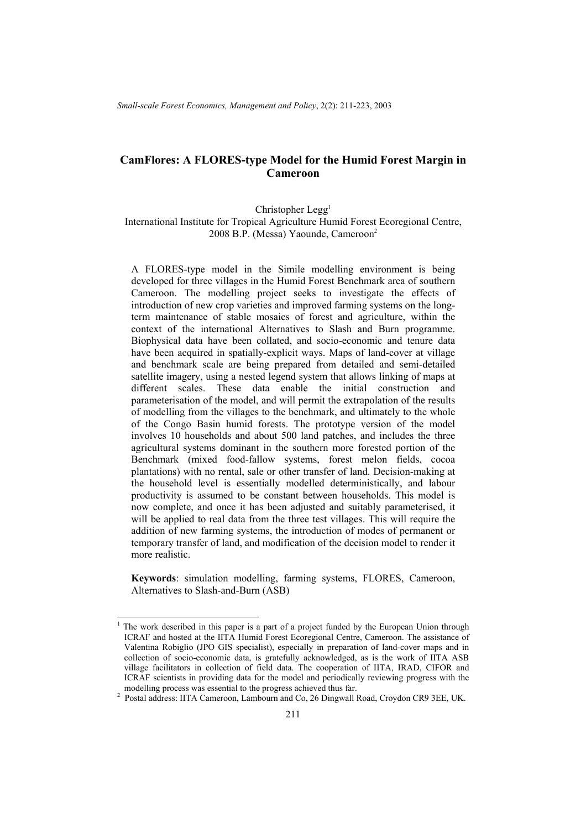# **CamFlores: A FLORES-type Model for the Humid Forest Margin in Cameroon**

## Christopher Legg<sup>1</sup> International Institute for Tropical Agriculture Humid Forest Ecoregional Centre, 2008 B.P. (Messa) Yaounde, Cameroo[n2](#page-0-1)

A FLORES-type model in the Simile modelling environment is being developed for three villages in the Humid Forest Benchmark area of southern Cameroon. The modelling project seeks to investigate the effects of introduction of new crop varieties and improved farming systems on the longterm maintenance of stable mosaics of forest and agriculture, within the context of the international Alternatives to Slash and Burn programme. Biophysical data have been collated, and socio-economic and tenure data have been acquired in spatially-explicit ways. Maps of land-cover at village and benchmark scale are being prepared from detailed and semi-detailed satellite imagery, using a nested legend system that allows linking of maps at different scales. These data enable the initial construction and parameterisation of the model, and will permit the extrapolation of the results of modelling from the villages to the benchmark, and ultimately to the whole of the Congo Basin humid forests. The prototype version of the model involves 10 households and about 500 land patches, and includes the three agricultural systems dominant in the southern more forested portion of the Benchmark (mixed food-fallow systems, forest melon fields, cocoa plantations) with no rental, sale or other transfer of land. Decision-making at the household level is essentially modelled deterministically, and labour productivity is assumed to be constant between households. This model is now complete, and once it has been adjusted and suitably parameterised, it will be applied to real data from the three test villages. This will require the addition of new farming systems, the introduction of modes of permanent or temporary transfer of land, and modification of the decision model to render it more realistic.

**Keywords**: simulation modelling, farming systems, FLORES, Cameroon, Alternatives to Slash-and-Burn (ASB)

 $\overline{a}$ 

<span id="page-0-0"></span><sup>1</sup> The work described in this paper is a part of a project funded by the European Union through ICRAF and hosted at the IITA Humid Forest Ecoregional Centre, Cameroon. The assistance of Valentina Robiglio (JPO GIS specialist), especially in preparation of land-cover maps and in collection of socio-economic data, is gratefully acknowledged, as is the work of IITA ASB village facilitators in collection of field data. The cooperation of IITA, IRAD, CIFOR and ICRAF scientists in providing data for the model and periodically reviewing progress with the modelling process was essential to the progress achieved thus far. 2

<span id="page-0-1"></span><sup>&</sup>lt;sup>2</sup> Postal address: IITA Cameroon, Lambourn and Co, 26 Dingwall Road, Croydon CR9 3EE, UK.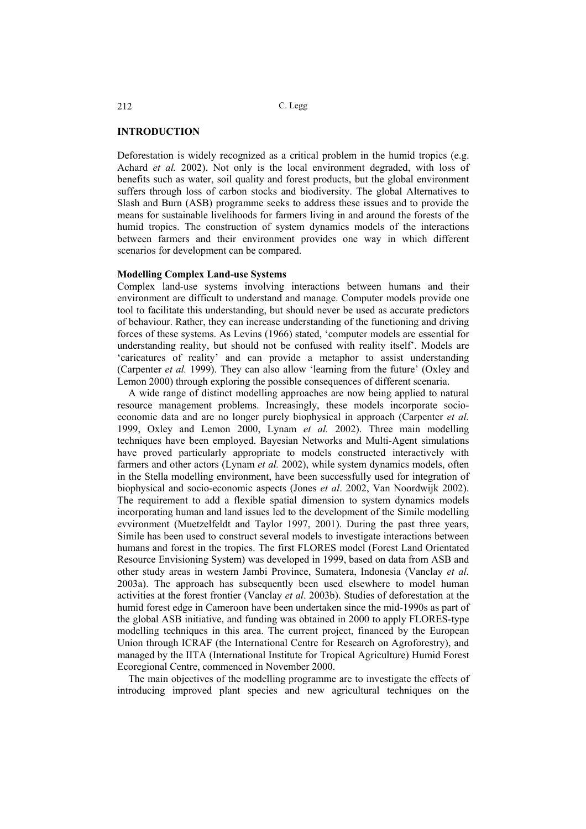### **INTRODUCTION**

Deforestation is widely recognized as a critical problem in the humid tropics (e.g. Achard *et al.* 2002). Not only is the local environment degraded, with loss of benefits such as water, soil quality and forest products, but the global environment suffers through loss of carbon stocks and biodiversity. The global Alternatives to Slash and Burn (ASB) programme seeks to address these issues and to provide the means for sustainable livelihoods for farmers living in and around the forests of the humid tropics. The construction of system dynamics models of the interactions between farmers and their environment provides one way in which different scenarios for development can be compared.

## **Modelling Complex Land-use Systems**

Complex land-use systems involving interactions between humans and their environment are difficult to understand and manage. Computer models provide one tool to facilitate this understanding, but should never be used as accurate predictors of behaviour. Rather, they can increase understanding of the functioning and driving forces of these systems. As Levins (1966) stated, 'computer models are essential for understanding reality, but should not be confused with reality itself'. Models are 'caricatures of reality' and can provide a metaphor to assist understanding (Carpenter *et al.* 1999). They can also allow 'learning from the future' (Oxley and Lemon 2000) through exploring the possible consequences of different scenaria.

A wide range of distinct modelling approaches are now being applied to natural resource management problems. Increasingly, these models incorporate socioeconomic data and are no longer purely biophysical in approach (Carpenter *et al.* 1999, Oxley and Lemon 2000, Lynam *et al.* 2002). Three main modelling techniques have been employed. Bayesian Networks and Multi-Agent simulations have proved particularly appropriate to models constructed interactively with farmers and other actors (Lynam *et al.* 2002), while system dynamics models, often in the Stella modelling environment, have been successfully used for integration of biophysical and socio-economic aspects (Jones *et al*. 2002, Van Noordwijk 2002). The requirement to add a flexible spatial dimension to system dynamics models incorporating human and land issues led to the development of the Simile modelling evvironment (Muetzelfeldt and Taylor 1997, 2001). During the past three years, Simile has been used to construct several models to investigate interactions between humans and forest in the tropics. The first FLORES model (Forest Land Orientated Resource Envisioning System) was developed in 1999, based on data from ASB and other study areas in western Jambi Province, Sumatera, Indonesia (Vanclay *et al*. 2003a). The approach has subsequently been used elsewhere to model human activities at the forest frontier (Vanclay *et al*. 2003b). Studies of deforestation at the humid forest edge in Cameroon have been undertaken since the mid-1990s as part of the global ASB initiative, and funding was obtained in 2000 to apply FLORES-type modelling techniques in this area. The current project, financed by the European Union through ICRAF (the International Centre for Research on Agroforestry), and managed by the IITA (International Institute for Tropical Agriculture) Humid Forest Ecoregional Centre, commenced in November 2000.

The main objectives of the modelling programme are to investigate the effects of introducing improved plant species and new agricultural techniques on the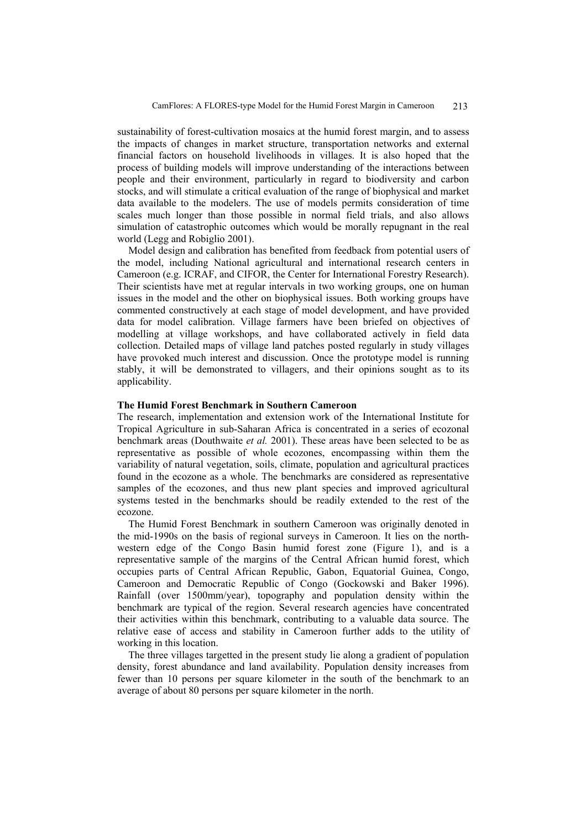sustainability of forest-cultivation mosaics at the humid forest margin, and to assess the impacts of changes in market structure, transportation networks and external financial factors on household livelihoods in villages. It is also hoped that the process of building models will improve understanding of the interactions between people and their environment, particularly in regard to biodiversity and carbon stocks, and will stimulate a critical evaluation of the range of biophysical and market data available to the modelers. The use of models permits consideration of time scales much longer than those possible in normal field trials, and also allows simulation of catastrophic outcomes which would be morally repugnant in the real world (Legg and Robiglio 2001).

Model design and calibration has benefited from feedback from potential users of the model, including National agricultural and international research centers in Cameroon (e.g. ICRAF, and CIFOR, the Center for International Forestry Research). Their scientists have met at regular intervals in two working groups, one on human issues in the model and the other on biophysical issues. Both working groups have commented constructively at each stage of model development, and have provided data for model calibration. Village farmers have been briefed on objectives of modelling at village workshops, and have collaborated actively in field data collection. Detailed maps of village land patches posted regularly in study villages have provoked much interest and discussion. Once the prototype model is running stably, it will be demonstrated to villagers, and their opinions sought as to its applicability.

#### **The Humid Forest Benchmark in Southern Cameroon**

The research, implementation and extension work of the International Institute for Tropical Agriculture in sub-Saharan Africa is concentrated in a series of ecozonal benchmark areas (Douthwaite *et al.* 2001). These areas have been selected to be as representative as possible of whole ecozones, encompassing within them the variability of natural vegetation, soils, climate, population and agricultural practices found in the ecozone as a whole. The benchmarks are considered as representative samples of the ecozones, and thus new plant species and improved agricultural systems tested in the benchmarks should be readily extended to the rest of the ecozone.

The Humid Forest Benchmark in southern Cameroon was originally denoted in the mid-1990s on the basis of regional surveys in Cameroon. It lies on the northwestern edge of the Congo Basin humid forest zone (Figure 1), and is a representative sample of the margins of the Central African humid forest, which occupies parts of Central African Republic, Gabon, Equatorial Guinea, Congo, Cameroon and Democratic Republic of Congo (Gockowski and Baker 1996). Rainfall (over 1500mm/year), topography and population density within the benchmark are typical of the region. Several research agencies have concentrated their activities within this benchmark, contributing to a valuable data source. The relative ease of access and stability in Cameroon further adds to the utility of working in this location.

The three villages targetted in the present study lie along a gradient of population density, forest abundance and land availability. Population density increases from fewer than 10 persons per square kilometer in the south of the benchmark to an average of about 80 persons per square kilometer in the north.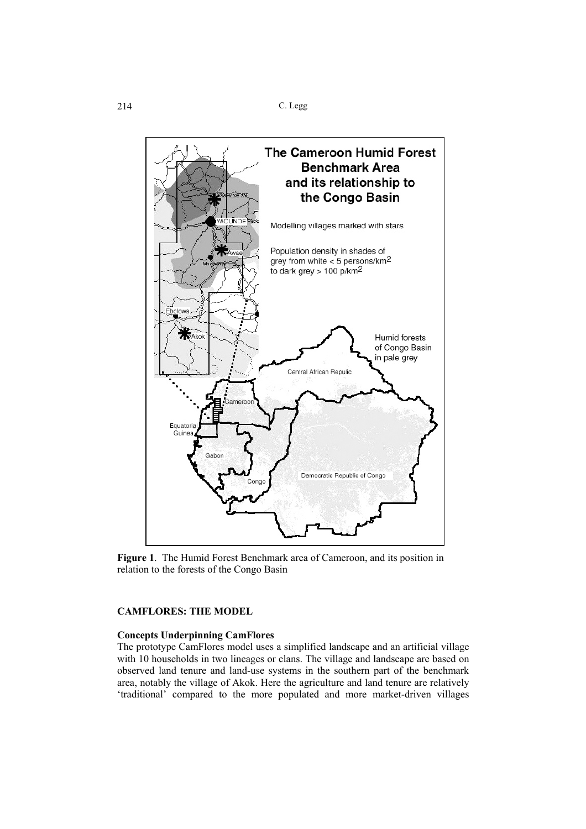214 C. Legg



**Figure 1**. The Humid Forest Benchmark area of Cameroon, and its position in relation to the forests of the Congo Basin

## **CAMFLORES: THE MODEL**

## **Concepts Underpinning CamFlores**

The prototype CamFlores model uses a simplified landscape and an artificial village with 10 households in two lineages or clans. The village and landscape are based on observed land tenure and land-use systems in the southern part of the benchmark area, notably the village of Akok. Here the agriculture and land tenure are relatively 'traditional' compared to the more populated and more market-driven villages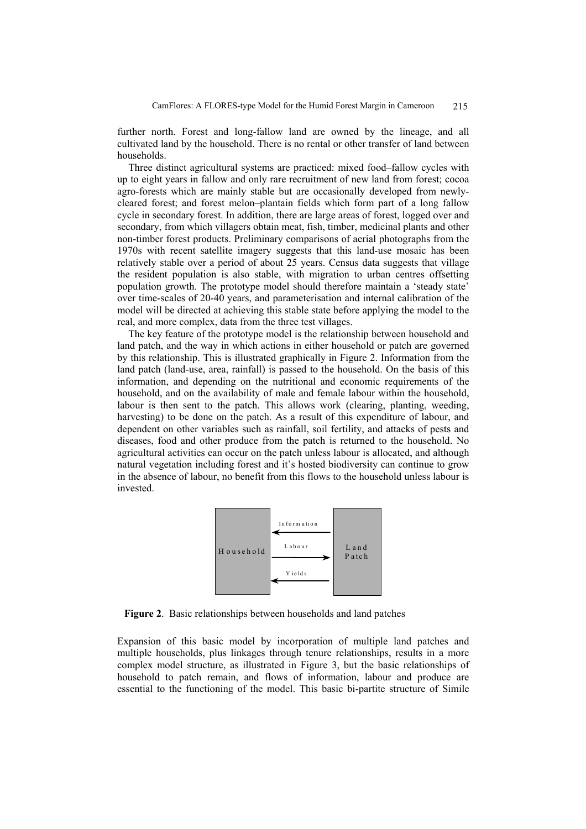further north. Forest and long-fallow land are owned by the lineage, and all cultivated land by the household. There is no rental or other transfer of land between households.

Three distinct agricultural systems are practiced: mixed food–fallow cycles with up to eight years in fallow and only rare recruitment of new land from forest; cocoa agro-forests which are mainly stable but are occasionally developed from newlycleared forest; and forest melon–plantain fields which form part of a long fallow cycle in secondary forest. In addition, there are large areas of forest, logged over and secondary, from which villagers obtain meat, fish, timber, medicinal plants and other non-timber forest products. Preliminary comparisons of aerial photographs from the 1970s with recent satellite imagery suggests that this land-use mosaic has been relatively stable over a period of about 25 years. Census data suggests that village the resident population is also stable, with migration to urban centres offsetting population growth. The prototype model should therefore maintain a 'steady state' over time-scales of 20-40 years, and parameterisation and internal calibration of the model will be directed at achieving this stable state before applying the model to the real, and more complex, data from the three test villages.

The key feature of the prototype model is the relationship between household and land patch, and the way in which actions in either household or patch are governed by this relationship. This is illustrated graphically in Figure 2. Information from the land patch (land-use, area, rainfall) is passed to the household. On the basis of this information, and depending on the nutritional and economic requirements of the household, and on the availability of male and female labour within the household, labour is then sent to the patch. This allows work (clearing, planting, weeding, harvesting) to be done on the patch. As a result of this expenditure of labour, and dependent on other variables such as rainfall, soil fertility, and attacks of pests and diseases, food and other produce from the patch is returned to the household. No agricultural activities can occur on the patch unless labour is allocated, and although natural vegetation including forest and it's hosted biodiversity can continue to grow in the absence of labour, no benefit from this flows to the household unless labour is invested.



**Figure 2**. Basic relationships between households and land patches

Expansion of this basic model by incorporation of multiple land patches and multiple households, plus linkages through tenure relationships, results in a more complex model structure, as illustrated in Figure 3, but the basic relationships of household to patch remain, and flows of information, labour and produce are essential to the functioning of the model. This basic bi-partite structure of Simile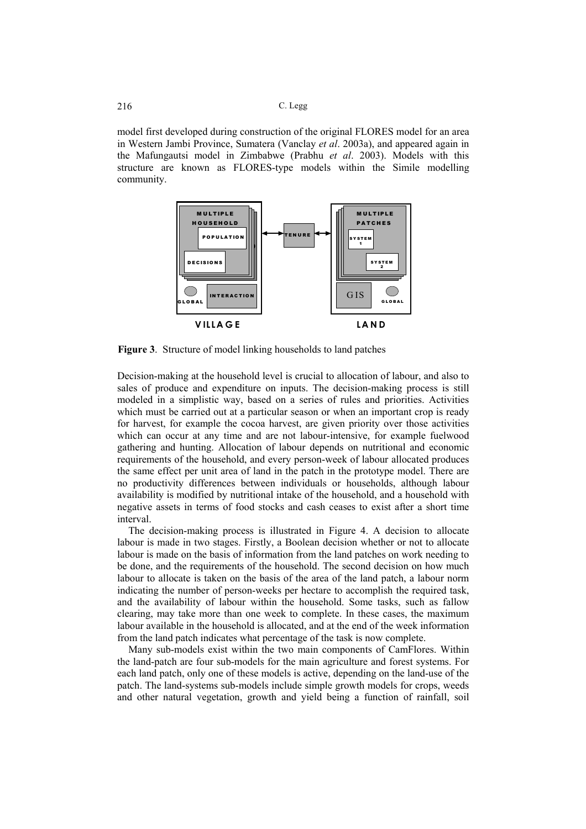216 C. Legg

model first developed during construction of the original FLORES model for an area in Western Jambi Province, Sumatera (Vanclay *et al*. 2003a), and appeared again in the Mafungautsi model in Zimbabwe (Prabhu *et al*. 2003). Models with this structure are known as FLORES-type models within the Simile modelling community.



**Figure 3**. Structure of model linking households to land patches

Decision-making at the household level is crucial to allocation of labour, and also to sales of produce and expenditure on inputs. The decision-making process is still modeled in a simplistic way, based on a series of rules and priorities. Activities which must be carried out at a particular season or when an important crop is ready for harvest, for example the cocoa harvest, are given priority over those activities which can occur at any time and are not labour-intensive, for example fuelwood gathering and hunting. Allocation of labour depends on nutritional and economic requirements of the household, and every person-week of labour allocated produces the same effect per unit area of land in the patch in the prototype model. There are no productivity differences between individuals or households, although labour availability is modified by nutritional intake of the household, and a household with negative assets in terms of food stocks and cash ceases to exist after a short time interval.

The decision-making process is illustrated in Figure 4. A decision to allocate labour is made in two stages. Firstly, a Boolean decision whether or not to allocate labour is made on the basis of information from the land patches on work needing to be done, and the requirements of the household. The second decision on how much labour to allocate is taken on the basis of the area of the land patch, a labour norm indicating the number of person-weeks per hectare to accomplish the required task, and the availability of labour within the household. Some tasks, such as fallow clearing, may take more than one week to complete. In these cases, the maximum labour available in the household is allocated, and at the end of the week information from the land patch indicates what percentage of the task is now complete.

Many sub-models exist within the two main components of CamFlores. Within the land-patch are four sub-models for the main agriculture and forest systems. For each land patch, only one of these models is active, depending on the land-use of the patch. The land-systems sub-models include simple growth models for crops, weeds and other natural vegetation, growth and yield being a function of rainfall, soil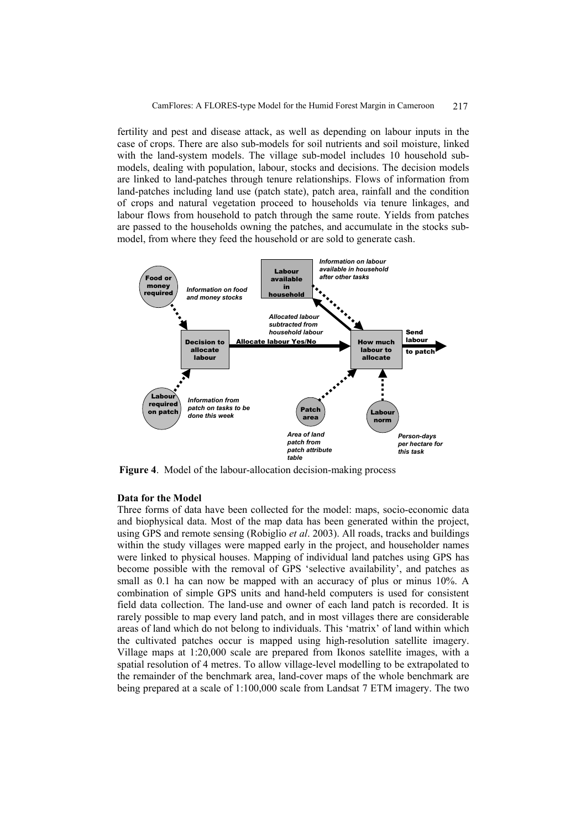fertility and pest and disease attack, as well as depending on labour inputs in the case of crops. There are also sub-models for soil nutrients and soil moisture, linked with the land-system models. The village sub-model includes 10 household submodels, dealing with population, labour, stocks and decisions. The decision models are linked to land-patches through tenure relationships. Flows of information from land-patches including land use (patch state), patch area, rainfall and the condition of crops and natural vegetation proceed to households via tenure linkages, and labour flows from household to patch through the same route. Yields from patches are passed to the households owning the patches, and accumulate in the stocks submodel, from where they feed the household or are sold to generate cash.



**Figure 4**. Model of the labour-allocation decision-making process

### **Data for the Model**

Three forms of data have been collected for the model: maps, socio-economic data and biophysical data. Most of the map data has been generated within the project, using GPS and remote sensing (Robiglio *et al*. 2003). All roads, tracks and buildings within the study villages were mapped early in the project, and householder names were linked to physical houses. Mapping of individual land patches using GPS has become possible with the removal of GPS 'selective availability', and patches as small as 0.1 ha can now be mapped with an accuracy of plus or minus 10%. A combination of simple GPS units and hand-held computers is used for consistent field data collection. The land-use and owner of each land patch is recorded. It is rarely possible to map every land patch, and in most villages there are considerable areas of land which do not belong to individuals. This 'matrix' of land within which the cultivated patches occur is mapped using high-resolution satellite imagery. Village maps at 1:20,000 scale are prepared from Ikonos satellite images, with a spatial resolution of 4 metres. To allow village-level modelling to be extrapolated to the remainder of the benchmark area, land-cover maps of the whole benchmark are being prepared at a scale of 1:100,000 scale from Landsat 7 ETM imagery. The two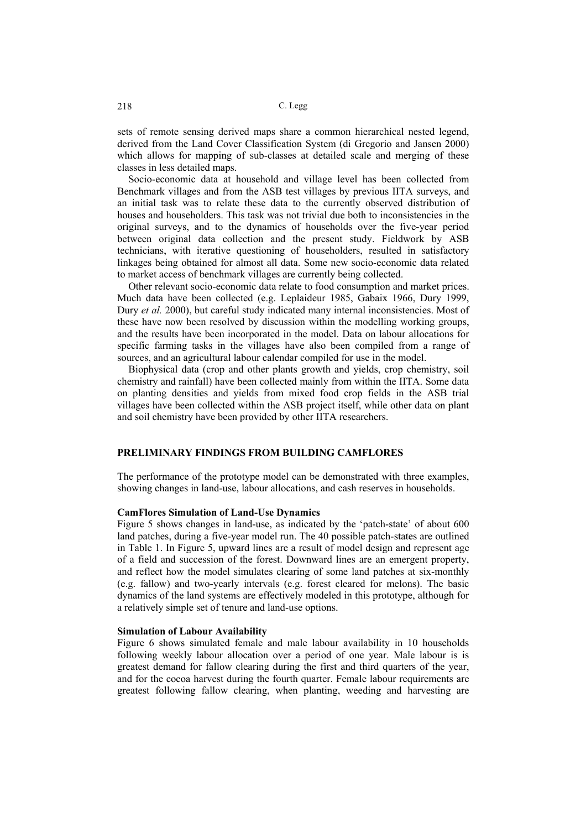sets of remote sensing derived maps share a common hierarchical nested legend, derived from the Land Cover Classification System (di Gregorio and Jansen 2000) which allows for mapping of sub-classes at detailed scale and merging of these classes in less detailed maps.

Socio-economic data at household and village level has been collected from Benchmark villages and from the ASB test villages by previous IITA surveys, and an initial task was to relate these data to the currently observed distribution of houses and householders. This task was not trivial due both to inconsistencies in the original surveys, and to the dynamics of households over the five-year period between original data collection and the present study. Fieldwork by ASB technicians, with iterative questioning of householders, resulted in satisfactory linkages being obtained for almost all data. Some new socio-economic data related to market access of benchmark villages are currently being collected.

Other relevant socio-economic data relate to food consumption and market prices. Much data have been collected (e.g. Leplaideur 1985, Gabaix 1966, Dury 1999, Dury *et al.* 2000), but careful study indicated many internal inconsistencies. Most of these have now been resolved by discussion within the modelling working groups, and the results have been incorporated in the model. Data on labour allocations for specific farming tasks in the villages have also been compiled from a range of sources, and an agricultural labour calendar compiled for use in the model.

Biophysical data (crop and other plants growth and yields, crop chemistry, soil chemistry and rainfall) have been collected mainly from within the IITA. Some data on planting densities and yields from mixed food crop fields in the ASB trial villages have been collected within the ASB project itself, while other data on plant and soil chemistry have been provided by other IITA researchers.

## **PRELIMINARY FINDINGS FROM BUILDING CAMFLORES**

The performance of the prototype model can be demonstrated with three examples, showing changes in land-use, labour allocations, and cash reserves in households.

### **CamFlores Simulation of Land-Use Dynamics**

Figure 5 shows changes in land-use, as indicated by the 'patch-state' of about 600 land patches, during a five-year model run. The 40 possible patch-states are outlined in Table 1. In Figure 5, upward lines are a result of model design and represent age of a field and succession of the forest. Downward lines are an emergent property, and reflect how the model simulates clearing of some land patches at six-monthly (e.g. fallow) and two-yearly intervals (e.g. forest cleared for melons). The basic dynamics of the land systems are effectively modeled in this prototype, although for a relatively simple set of tenure and land-use options.

### **Simulation of Labour Availability**

Figure 6 shows simulated female and male labour availability in 10 households following weekly labour allocation over a period of one year. Male labour is is greatest demand for fallow clearing during the first and third quarters of the year, and for the cocoa harvest during the fourth quarter. Female labour requirements are greatest following fallow clearing, when planting, weeding and harvesting are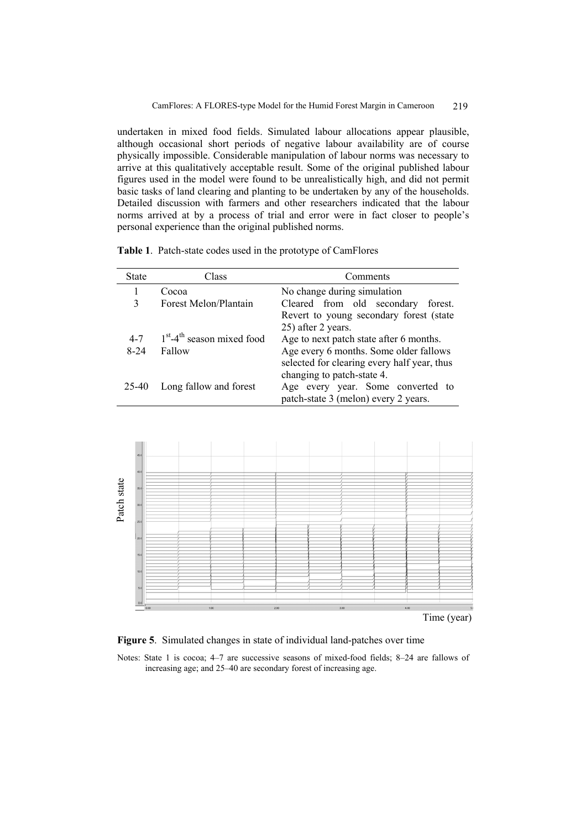undertaken in mixed food fields. Simulated labour allocations appear plausible, although occasional short periods of negative labour availability are of course physically impossible. Considerable manipulation of labour norms was necessary to arrive at this qualitatively acceptable result. Some of the original published labour figures used in the model were found to be unrealistically high, and did not permit basic tasks of land clearing and planting to be undertaken by any of the households. Detailed discussion with farmers and other researchers indicated that the labour norms arrived at by a process of trial and error were in fact closer to people's personal experience than the original published norms.

|  |  |  |  |  | Table 1. Patch-state codes used in the prototype of CamFlores |
|--|--|--|--|--|---------------------------------------------------------------|
|--|--|--|--|--|---------------------------------------------------------------|

| State    | Class                         | Comments                                    |
|----------|-------------------------------|---------------------------------------------|
|          | Cocoa                         | No change during simulation                 |
|          | Forest Melon/Plantain         | Cleared from old secondary forest.          |
|          |                               | Revert to young secondary forest (state     |
|          |                               | 25) after 2 years.                          |
| $4 - 7$  | $1st - 4th$ season mixed food | Age to next patch state after 6 months.     |
| $8 - 24$ | Fallow                        | Age every 6 months. Some older fallows      |
|          |                               | selected for clearing every half year, thus |
|          |                               | changing to patch-state 4.                  |
| 25-40    | Long fallow and forest        | Age every year. Some converted to           |
|          |                               | patch-state 3 (melon) every 2 years.        |





Notes: State 1 is cocoa; 4–7 are successive seasons of mixed-food fields; 8–24 are fallows of increasing age; and 25–40 are secondary forest of increasing age.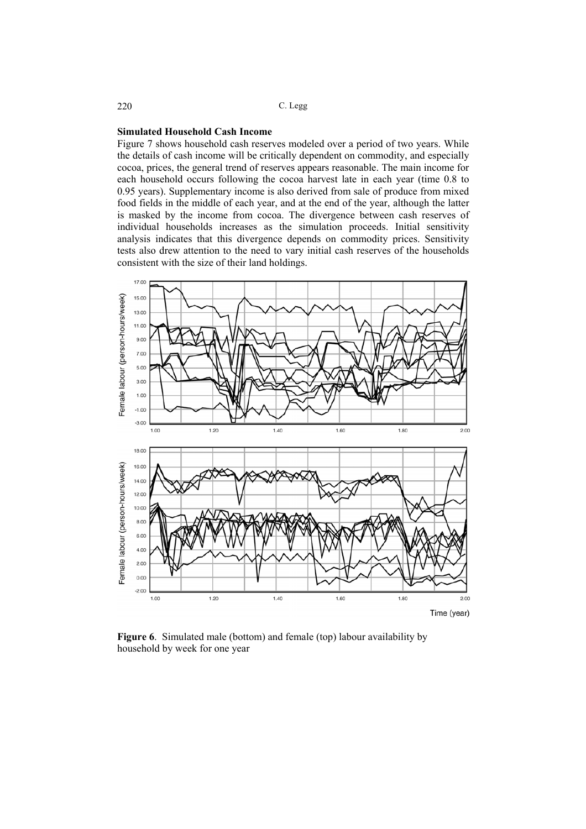220 C. Legg

### **Simulated Household Cash Income**

Figure 7 shows household cash reserves modeled over a period of two years. While the details of cash income will be critically dependent on commodity, and especially cocoa, prices, the general trend of reserves appears reasonable. The main income for each household occurs following the cocoa harvest late in each year (time 0.8 to 0.95 years). Supplementary income is also derived from sale of produce from mixed food fields in the middle of each year, and at the end of the year, although the latter is masked by the income from cocoa. The divergence between cash reserves of individual households increases as the simulation proceeds. Initial sensitivity analysis indicates that this divergence depends on commodity prices. Sensitivity tests also drew attention to the need to vary initial cash reserves of the households consistent with the size of their land holdings.



**Figure 6**. Simulated male (bottom) and female (top) labour availability by household by week for one year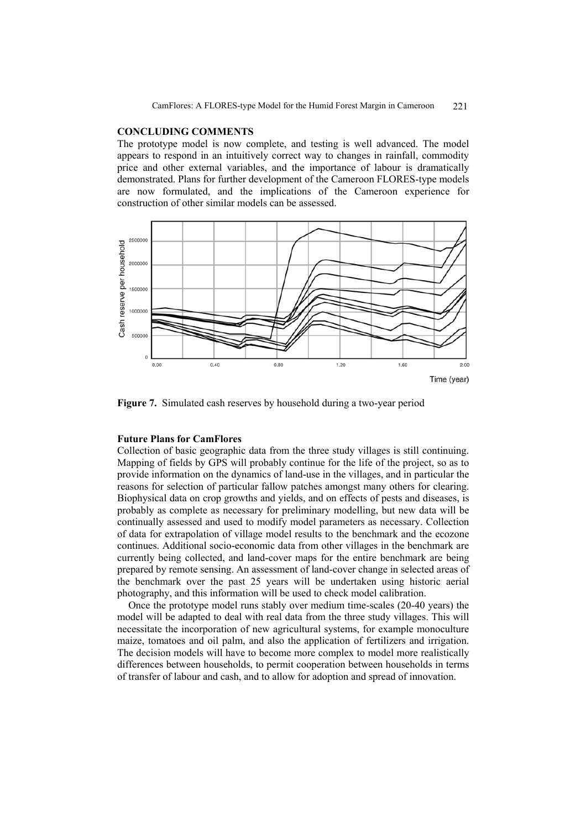#### **CONCLUDING COMMENTS**

The prototype model is now complete, and testing is well advanced. The model appears to respond in an intuitively correct way to changes in rainfall, commodity price and other external variables, and the importance of labour is dramatically demonstrated. Plans for further development of the Cameroon FLORES-type models are now formulated, and the implications of the Cameroon experience for construction of other similar models can be assessed.



**Figure 7.** Simulated cash reserves by household during a two-year period

## **Future Plans for CamFlores**

Collection of basic geographic data from the three study villages is still continuing. Mapping of fields by GPS will probably continue for the life of the project, so as to provide information on the dynamics of land-use in the villages, and in particular the reasons for selection of particular fallow patches amongst many others for clearing. Biophysical data on crop growths and yields, and on effects of pests and diseases, is probably as complete as necessary for preliminary modelling, but new data will be continually assessed and used to modify model parameters as necessary. Collection of data for extrapolation of village model results to the benchmark and the ecozone continues. Additional socio-economic data from other villages in the benchmark are currently being collected, and land-cover maps for the entire benchmark are being prepared by remote sensing. An assessment of land-cover change in selected areas of the benchmark over the past 25 years will be undertaken using historic aerial photography, and this information will be used to check model calibration.

Once the prototype model runs stably over medium time-scales (20-40 years) the model will be adapted to deal with real data from the three study villages. This will necessitate the incorporation of new agricultural systems, for example monoculture maize, tomatoes and oil palm, and also the application of fertilizers and irrigation. The decision models will have to become more complex to model more realistically differences between households, to permit cooperation between households in terms of transfer of labour and cash, and to allow for adoption and spread of innovation.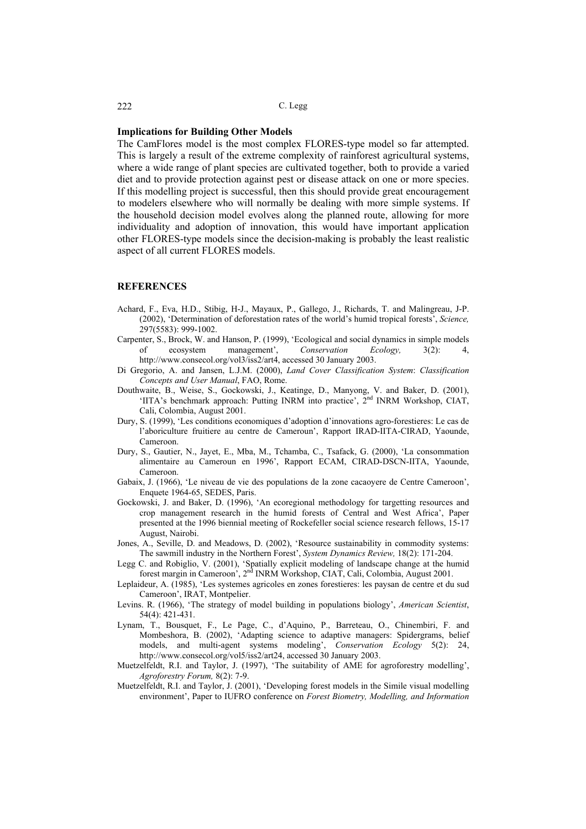#### **Implications for Building Other Models**

The CamFlores model is the most complex FLORES-type model so far attempted. This is largely a result of the extreme complexity of rainforest agricultural systems, where a wide range of plant species are cultivated together, both to provide a varied diet and to provide protection against pest or disease attack on one or more species. If this modelling project is successful, then this should provide great encouragement to modelers elsewhere who will normally be dealing with more simple systems. If the household decision model evolves along the planned route, allowing for more individuality and adoption of innovation, this would have important application other FLORES-type models since the decision-making is probably the least realistic aspect of all current FLORES models.

#### **REFERENCES**

- Achard, F., Eva, H.D., Stibig, H-J., Mayaux, P., Gallego, J., Richards, T. and Malingreau, J-P. (2002), 'Determination of deforestation rates of the world's humid tropical forests', *Science,* 297(5583): 999-1002.
- Carpenter, S., Brock, W. and Hanson, P. (1999), 'Ecological and social dynamics in simple models of ecosystem management', *Conservation Ecology,* 3(2): 4, [http://www.consecol.org/vol3/iss2/art4](http://www.consecol.org/vol5/iss2/art24), accessed 30 January 2003.
- Di Gregorio, A. and Jansen, L.J.M. (2000), *Land Cover Classification System*: *Classification Concepts and User Manual*, FAO, Rome.
- Douthwaite, B., Weise, S., Gockowski, J., Keatinge, D., Manyong, V. and Baker, D. (2001), 'IITA's benchmark approach: Putting INRM into practice', 2<sup>nd</sup> INRM Workshop, CIAT, Cali, Colombia, August 2001.
- Dury, S. (1999), 'Les conditions economiques d'adoption d'innovations agro-forestieres: Le cas de l'aboriculture fruitiere au centre de Cameroun', Rapport IRAD-IITA-CIRAD, Yaounde, Cameroon.
- Dury, S., Gautier, N., Jayet, E., Mba, M., Tchamba, C., Tsafack, G. (2000), 'La consommation alimentaire au Cameroun en 1996', Rapport ECAM, CIRAD-DSCN-IITA, Yaounde, Cameroon.
- Gabaix, J. (1966), 'Le niveau de vie des populations de la zone cacaoyere de Centre Cameroon', Enquete 1964-65, SEDES, Paris.
- Gockowski, J. and Baker, D. (1996), 'An ecoregional methodology for targetting resources and crop management research in the humid forests of Central and West Africa', Paper presented at the 1996 biennial meeting of Rockefeller social science research fellows, 15-17 August, Nairobi.
- Jones, A., Seville, D. and Meadows, D. (2002), 'Resource sustainability in commodity systems: The sawmill industry in the Northern Forest', *System Dynamics Review,* 18(2): 171-204.
- Legg C. and Robiglio, V. (2001), 'Spatially explicit modeling of landscape change at the humid forest margin in Cameroon', 2<sup>nd</sup> INRM Workshop, CIAT, Cali, Colombia, August 2001.
- Leplaideur, A. (1985), 'Les systemes agricoles en zones forestieres: les paysan de centre et du sud Cameroon', IRAT, Montpelier.
- Levins. R. (1966), 'The strategy of model building in populations biology', *American Scientist*, 54(4): 421-431.
- Lynam, T., Bousquet, F., Le Page, C., d'Aquino, P., Barreteau, O., Chinembiri, F. and Mombeshora, B. (2002), 'Adapting science to adaptive managers: Spidergrams, belief models, and multi-agent systems modeling', *Conservation Ecology* 5(2): 24, [http://www.consecol.org/vol5/iss2/art24,](http://www.consecol.org/vol5/iss2/art24) accessed 30 January 2003.
- Muetzelfeldt, R.I. and Taylor, J. (1997), 'The suitability of AME for agroforestry modelling', *Agroforestry Forum,* 8(2): 7-9.
- Muetzelfeldt, R.I. and Taylor, J. (2001), 'Developing forest models in the Simile visual modelling environment', Paper to IUFRO conference on *Forest Biometry, Modelling, and Information*